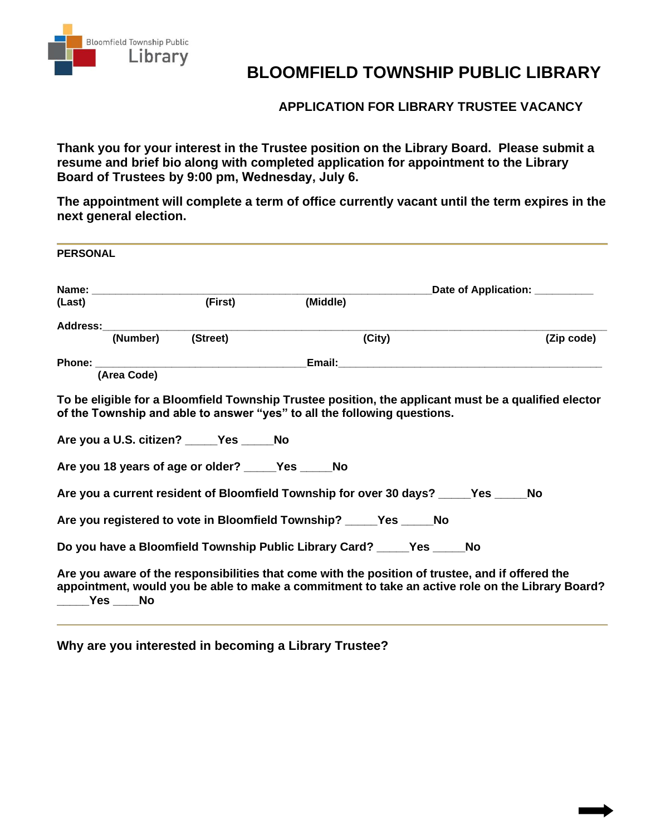

## **BLOOMFIELD TOWNSHIP PUBLIC LIBRARY**

**APPLICATION FOR LIBRARY TRUSTEE VACANCY**

**Thank you for your interest in the Trustee position on the Library Board. Please submit a resume and brief bio along with completed application for appointment to the Library Board of Trustees by 9:00 pm, Wednesday, July 6.** 

**The appointment will complete a term of office currently vacant until the term expires in the next general election.** 

| <b>PERSONAL</b> |                   |                                                                                                |                                                                                                                                                                                                      |                                           |  |            |  |
|-----------------|-------------------|------------------------------------------------------------------------------------------------|------------------------------------------------------------------------------------------------------------------------------------------------------------------------------------------------------|-------------------------------------------|--|------------|--|
|                 |                   |                                                                                                |                                                                                                                                                                                                      | Date of Application: <u>New York Bate</u> |  |            |  |
| (Last)          |                   | (First)                                                                                        | (Middle)                                                                                                                                                                                             |                                           |  |            |  |
|                 | Address:_________ |                                                                                                |                                                                                                                                                                                                      |                                           |  |            |  |
|                 | (Number) (Street) |                                                                                                |                                                                                                                                                                                                      | (City)                                    |  | (Zip code) |  |
|                 |                   |                                                                                                |                                                                                                                                                                                                      |                                           |  |            |  |
|                 | (Area Code)       |                                                                                                |                                                                                                                                                                                                      |                                           |  |            |  |
|                 |                   | Are you a U.S. citizen? _____Yes _____No<br>Are you 18 years of age or older? _____Yes _____No | Are you a current resident of Bloomfield Township for over 30 days? _____Yes ____                                                                                                                    |                                           |  | No         |  |
|                 |                   |                                                                                                | Are you registered to vote in Bloomfield Township? _____Yes _____No                                                                                                                                  |                                           |  |            |  |
|                 |                   |                                                                                                | Do you have a Bloomfield Township Public Library Card? ______Yes ______No                                                                                                                            |                                           |  |            |  |
|                 | _____Yes ____ No  |                                                                                                | Are you aware of the responsibilities that come with the position of trustee, and if offered the<br>appointment, would you be able to make a commitment to take an active role on the Library Board? |                                           |  |            |  |

**Why are you interested in becoming a Library Trustee?**